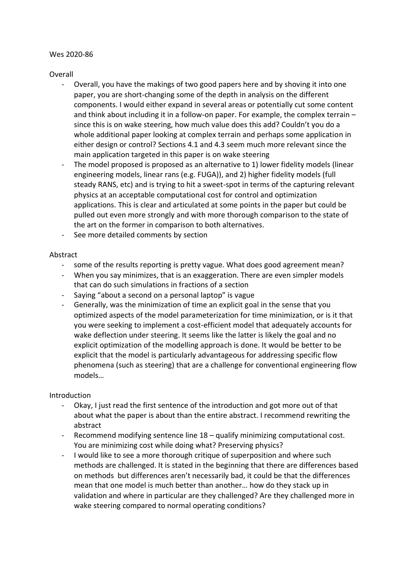#### Wes 2020-86

## Overall

- Overall, you have the makings of two good papers here and by shoving it into one paper, you are short-changing some of the depth in analysis on the different components. I would either expand in several areas or potentially cut some content and think about including it in a follow-on paper. For example, the complex terrain – since this is on wake steering, how much value does this add? Couldn't you do a whole additional paper looking at complex terrain and perhaps some application in either design or control? Sections 4.1 and 4.3 seem much more relevant since the main application targeted in this paper is on wake steering
- The model proposed is proposed as an alternative to 1) lower fidelity models (linear engineering models, linear rans (e.g. FUGA)), and 2) higher fidelity models (full steady RANS, etc) and is trying to hit a sweet-spot in terms of the capturing relevant physics at an acceptable computational cost for control and optimization applications. This is clear and articulated at some points in the paper but could be pulled out even more strongly and with more thorough comparison to the state of the art on the former in comparison to both alternatives.
- See more detailed comments by section

#### Abstract

- some of the results reporting is pretty vague. What does good agreement mean?
- When you say minimizes, that is an exaggeration. There are even simpler models that can do such simulations in fractions of a section
- Saying "about a second on a personal laptop" is vague
- Generally, was the minimization of time an explicit goal in the sense that you optimized aspects of the model parameterization for time minimization, or is it that you were seeking to implement a cost-efficient model that adequately accounts for wake deflection under steering. It seems like the latter is likely the goal and no explicit optimization of the modelling approach is done. It would be better to be explicit that the model is particularly advantageous for addressing specific flow phenomena (such as steering) that are a challenge for conventional engineering flow models…

## Introduction

- Okay, I just read the first sentence of the introduction and got more out of that about what the paper is about than the entire abstract. I recommend rewriting the abstract
- Recommend modifying sentence line  $18 -$  qualify minimizing computational cost. You are minimizing cost while doing what? Preserving physics?
- I would like to see a more thorough critique of superposition and where such methods are challenged. It is stated in the beginning that there are differences based on methods but differences aren't necessarily bad, it could be that the differences mean that one model is much better than another… how do they stack up in validation and where in particular are they challenged? Are they challenged more in wake steering compared to normal operating conditions?